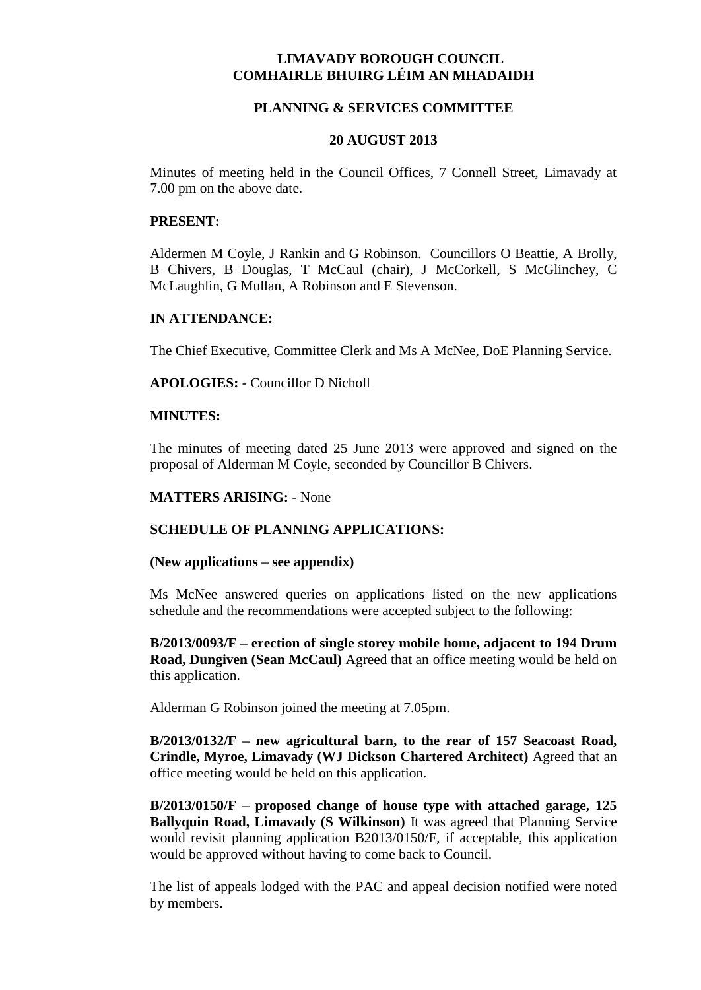# **LIMAVADY BOROUGH COUNCIL COMHAIRLE BHUIRG LÉIM AN MHADAIDH**

# **PLANNING & SERVICES COMMITTEE**

#### **20 AUGUST 2013**

Minutes of meeting held in the Council Offices, 7 Connell Street, Limavady at 7.00 pm on the above date.

### **PRESENT:**

Aldermen M Coyle, J Rankin and G Robinson. Councillors O Beattie, A Brolly, B Chivers, B Douglas, T McCaul (chair), J McCorkell, S McGlinchey, C McLaughlin, G Mullan, A Robinson and E Stevenson.

# **IN ATTENDANCE:**

The Chief Executive, Committee Clerk and Ms A McNee, DoE Planning Service.

**APOLOGIES:** - Councillor D Nicholl

# **MINUTES:**

The minutes of meeting dated 25 June 2013 were approved and signed on the proposal of Alderman M Coyle, seconded by Councillor B Chivers.

### **MATTERS ARISING:** - None

# **SCHEDULE OF PLANNING APPLICATIONS:**

#### **(New applications – see appendix)**

Ms McNee answered queries on applications listed on the new applications schedule and the recommendations were accepted subject to the following:

**B/2013/0093/F – erection of single storey mobile home, adjacent to 194 Drum Road, Dungiven (Sean McCaul)** Agreed that an office meeting would be held on this application.

Alderman G Robinson joined the meeting at 7.05pm.

**B/2013/0132/F – new agricultural barn, to the rear of 157 Seacoast Road, Crindle, Myroe, Limavady (WJ Dickson Chartered Architect)** Agreed that an office meeting would be held on this application.

**B/2013/0150/F – proposed change of house type with attached garage, 125 Ballyquin Road, Limavady (S Wilkinson)** It was agreed that Planning Service would revisit planning application B2013/0150/F, if acceptable, this application would be approved without having to come back to Council.

The list of appeals lodged with the PAC and appeal decision notified were noted by members.